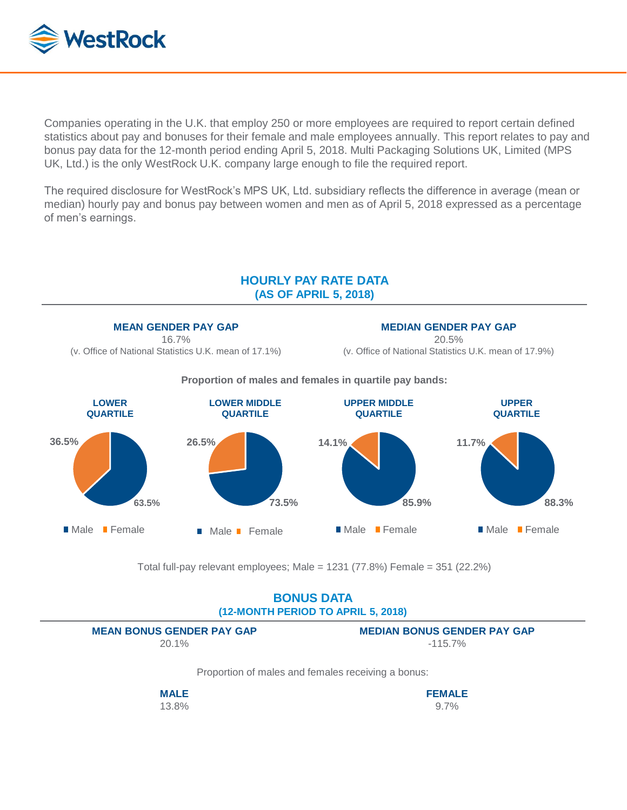

Companies operating in the U.K. that employ 250 or more employees are required to report certain defined statistics about pay and bonuses for their female and male employees annually. This report relates to pay and bonus pay data for the 12-month period ending April 5, 2018. Multi Packaging Solutions UK, Limited (MPS UK, Ltd.) is the only WestRock U.K. company large enough to file the required report.

The required disclosure for WestRock's MPS UK, Ltd. subsidiary reflects the difference in average (mean or median) hourly pay and bonus pay between women and men as of April 5, 2018 expressed as a percentage of men's earnings.



Total full-pay relevant employees; Male = 1231 (77.8%) Female = 351 (22.2%)

## **BONUS DATA (12-MONTH PERIOD TO APRIL 5, 2018)**

**MEAN BONUS GENDER PAY GAP** 20.1%

**MEDIAN BONUS GENDER PAY GAP** -115.7%

Proportion of males and females receiving a bonus:

**MALE** 13.8% **FEMALE** 9.7%